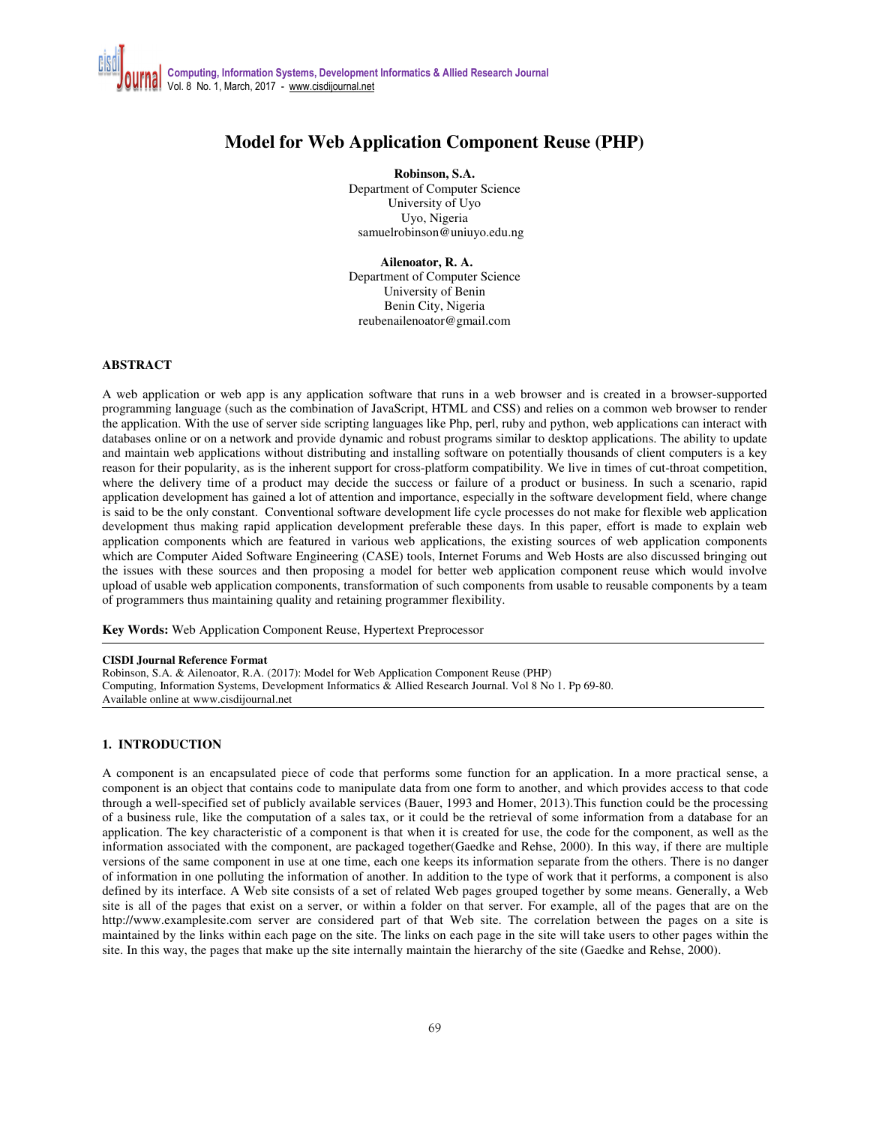# **Model for Web Application Component Reuse (PHP)**

**Robinson, S.A.**  Department of Computer Science University of Uyo Uyo, Nigeria samuelrobinson@uniuyo.edu.ng

 **Ailenoator, R. A.**  Department of Computer Science University of Benin Benin City, Nigeria reubenailenoator@gmail.com

### **ABSTRACT**

A web application or web app is any application software that runs in a web browser and is created in a browser-supported programming language (such as the combination of JavaScript, HTML and CSS) and relies on a common web browser to render the application. With the use of server side scripting languages like Php, perl, ruby and python, web applications can interact with databases online or on a network and provide dynamic and robust programs similar to desktop applications. The ability to update and maintain web applications without distributing and installing software on potentially thousands of client computers is a key reason for their popularity, as is the inherent support for cross-platform compatibility. We live in times of cut-throat competition, where the delivery time of a product may decide the success or failure of a product or business. In such a scenario, rapid application development has gained a lot of attention and importance, especially in the software development field, where change is said to be the only constant. Conventional software development life cycle processes do not make for flexible web application development thus making rapid application development preferable these days. In this paper, effort is made to explain web application components which are featured in various web applications, the existing sources of web application components which are Computer Aided Software Engineering (CASE) tools, Internet Forums and Web Hosts are also discussed bringing out the issues with these sources and then proposing a model for better web application component reuse which would involve upload of usable web application components, transformation of such components from usable to reusable components by a team of programmers thus maintaining quality and retaining programmer flexibility.

**Key Words:** Web Application Component Reuse, Hypertext Preprocessor

#### **CISDI Journal Reference Format**

Robinson, S.A. & Ailenoator, R.A. (2017): Model for Web Application Component Reuse (PHP) Computing, Information Systems, Development Informatics & Allied Research Journal. Vol 8 No 1. Pp 69-80. Available online at www.cisdijournal.net

# **1. INTRODUCTION**

A component is an encapsulated piece of code that performs some function for an application. In a more practical sense, a component is an object that contains code to manipulate data from one form to another, and which provides access to that code through a well-specified set of publicly available services (Bauer, 1993 and Homer, 2013).This function could be the processing of a business rule, like the computation of a sales tax, or it could be the retrieval of some information from a database for an application. The key characteristic of a component is that when it is created for use, the code for the component, as well as the information associated with the component, are packaged together(Gaedke and Rehse, 2000). In this way, if there are multiple versions of the same component in use at one time, each one keeps its information separate from the others. There is no danger of information in one polluting the information of another. In addition to the type of work that it performs, a component is also defined by its interface. A Web site consists of a set of related Web pages grouped together by some means. Generally, a Web site is all of the pages that exist on a server, or within a folder on that server. For example, all of the pages that are on the http://www.examplesite.com server are considered part of that Web site. The correlation between the pages on a site is maintained by the links within each page on the site. The links on each page in the site will take users to other pages within the site. In this way, the pages that make up the site internally maintain the hierarchy of the site (Gaedke and Rehse, 2000).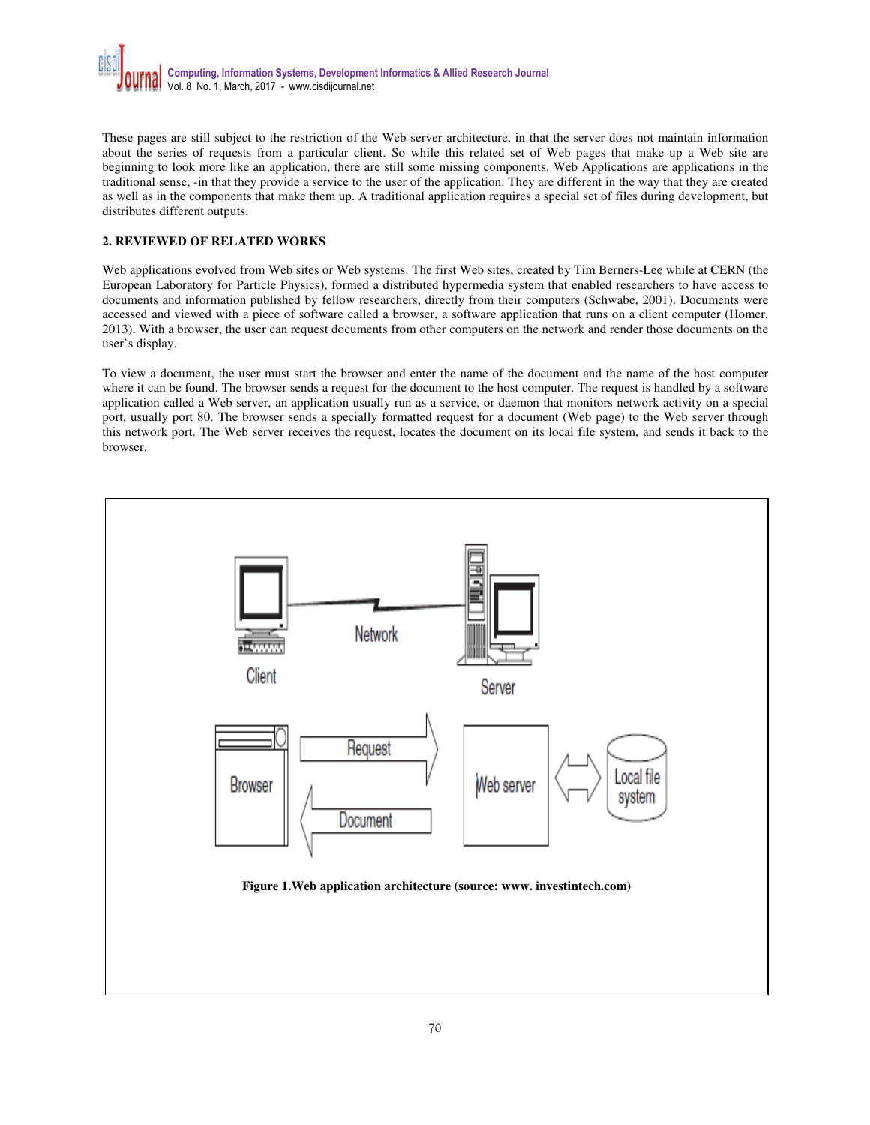

These pages are still subject to the restriction of the Web server architecture, in that the server does not maintain information about the series of requests from a particular client. So while this related set of Web pages that make up a Web site are beginning to look more like an application, there are still some missing components. Web Applications are applications in the traditional sense, -in that they provide a service to the user of the application. They are different in the way that they are created as well as in the components that make them up. A traditional application requires a special set of files during development, but distributes different outputs.

### **2. REVIEWED OF RELATED WORKS**

Web applications evolved from Web sites or Web systems. The first Web sites, created by Tim Berners-Lee while at CERN (the European Laboratory for Particle Physics), formed a distributed hypermedia system that enabled researchers to have access to documents and information published by fellow researchers, directly from their computers (Schwabe, 2001). Documents were accessed and viewed with a piece of software called a browser, a software application that runs on a client computer (Homer, 2013). With a browser, the user can request documents from other computers on the network and render those documents on the user's display.

To view a document, the user must start the browser and enter the name of the document and the name of the host computer where it can be found. The browser sends a request for the document to the host computer. The request is handled by a software application called a Web server, an application usually run as a service, or daemon that monitors network activity on a special port, usually port 80. The browser sends a specially formatted request for a document (Web page) to the Web server through this network port. The Web server receives the request, locates the document on its local file system, and sends it back to the browser.

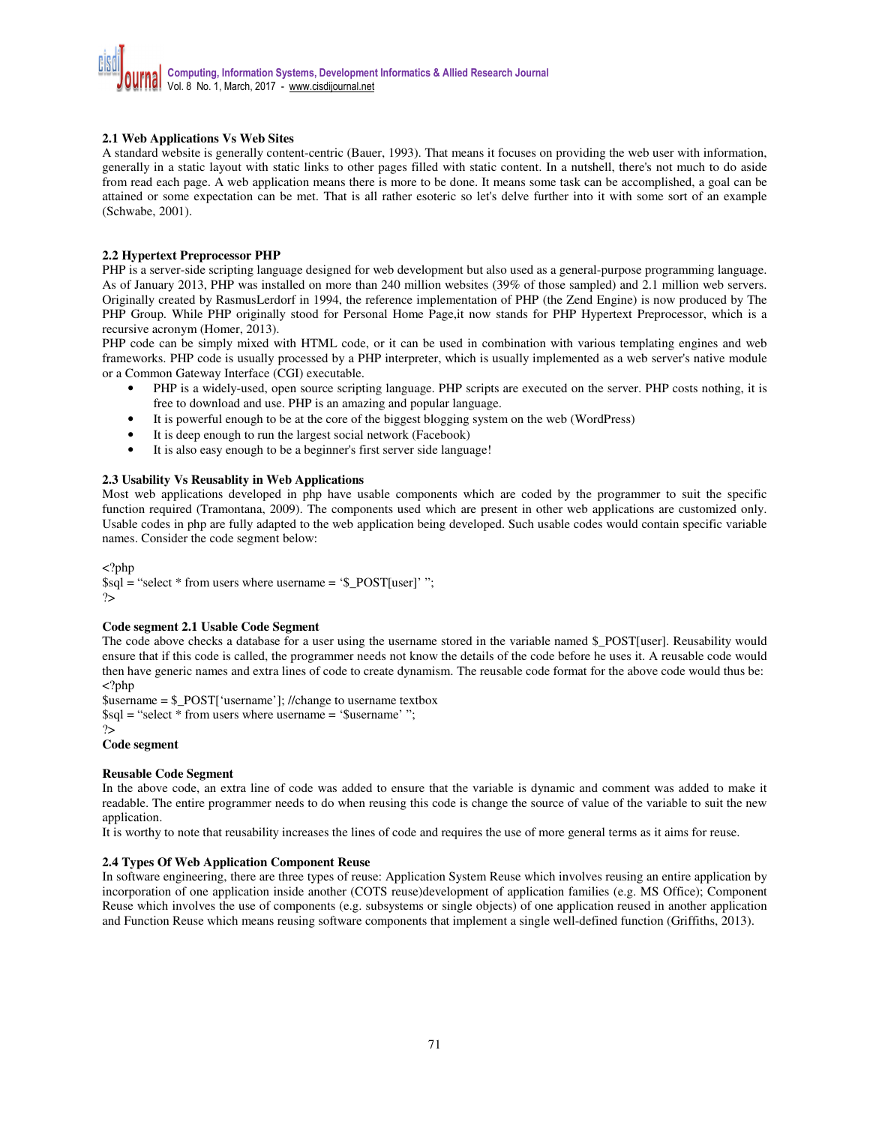### **2.1 Web Applications Vs Web Sites**

A standard website is generally content-centric (Bauer, 1993). That means it focuses on providing the web user with information, generally in a static layout with static links to other pages filled with static content. In a nutshell, there's not much to do aside from read each page. A web application means there is more to be done. It means some task can be accomplished, a goal can be attained or some expectation can be met. That is all rather esoteric so let's delve further into it with some sort of an example (Schwabe, 2001).

### **2.2 Hypertext Preprocessor PHP**

PHP is a server-side scripting language designed for web development but also used as a general-purpose programming language. As of January 2013, PHP was installed on more than 240 million websites (39% of those sampled) and 2.1 million web servers. Originally created by RasmusLerdorf in 1994, the reference implementation of PHP (the Zend Engine) is now produced by The PHP Group. While PHP originally stood for Personal Home Page,it now stands for PHP Hypertext Preprocessor, which is a recursive acronym (Homer, 2013).

PHP code can be simply mixed with HTML code, or it can be used in combination with various templating engines and web frameworks. PHP code is usually processed by a PHP interpreter, which is usually implemented as a web server's native module or a Common Gateway Interface (CGI) executable.

- PHP is a widely-used, open source scripting language. PHP scripts are executed on the server. PHP costs nothing, it is free to download and use. PHP is an amazing and popular language.
- It is powerful enough to be at the core of the biggest blogging system on the web (WordPress)
- It is deep enough to run the largest social network (Facebook)
- It is also easy enough to be a beginner's first server side language!

### **2.3 Usability Vs Reusablity in Web Applications**

Most web applications developed in php have usable components which are coded by the programmer to suit the specific function required (Tramontana, 2009). The components used which are present in other web applications are customized only. Usable codes in php are fully adapted to the web application being developed. Such usable codes would contain specific variable names. Consider the code segment below:

<?php \$sql = "select \* from users where username = '\$\_POST[user]' "; ?>

### **Code segment 2.1 Usable Code Segment**

The code above checks a database for a user using the username stored in the variable named \$\_POST[user]. Reusability would ensure that if this code is called, the programmer needs not know the details of the code before he uses it. A reusable code would then have generic names and extra lines of code to create dynamism. The reusable code format for the above code would thus be:  $\langle$ ?php

\$username = \$\_POST['username']; //change to username textbox  $\gamma = \gamma$  is sql = "select \* from users where username = ' $\gamma$ username' ";

#### ?> **Code segment**

# **Reusable Code Segment**

In the above code, an extra line of code was added to ensure that the variable is dynamic and comment was added to make it readable. The entire programmer needs to do when reusing this code is change the source of value of the variable to suit the new application.

It is worthy to note that reusability increases the lines of code and requires the use of more general terms as it aims for reuse.

### **2.4 Types Of Web Application Component Reuse**

In software engineering, there are three types of reuse: Application System Reuse which involves reusing an entire application by incorporation of one application inside another (COTS reuse)development of application families (e.g. MS Office); Component Reuse which involves the use of components (e.g. subsystems or single objects) of one application reused in another application and Function Reuse which means reusing software components that implement a single well-defined function (Griffiths, 2013).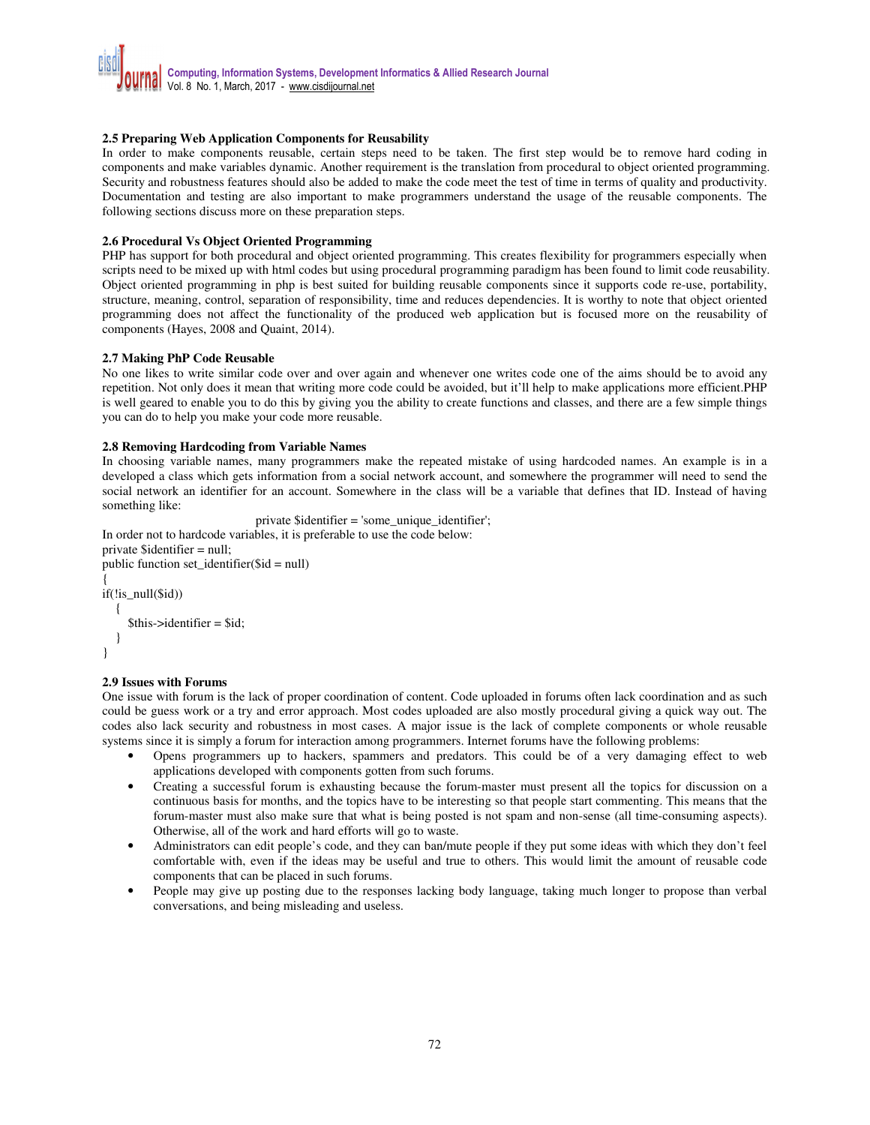### **2.5 Preparing Web Application Components for Reusability**

In order to make components reusable, certain steps need to be taken. The first step would be to remove hard coding in components and make variables dynamic. Another requirement is the translation from procedural to object oriented programming. Security and robustness features should also be added to make the code meet the test of time in terms of quality and productivity. Documentation and testing are also important to make programmers understand the usage of the reusable components. The following sections discuss more on these preparation steps.

### **2.6 Procedural Vs Object Oriented Programming**

PHP has support for both procedural and object oriented programming. This creates flexibility for programmers especially when scripts need to be mixed up with html codes but using procedural programming paradigm has been found to limit code reusability. Object oriented programming in php is best suited for building reusable components since it supports code re-use, portability, structure, meaning, control, separation of responsibility, time and reduces dependencies. It is worthy to note that object oriented programming does not affect the functionality of the produced web application but is focused more on the reusability of components (Hayes, 2008 and Quaint, 2014).

### **2.7 Making PhP Code Reusable**

No one likes to write similar code over and over again and whenever one writes code one of the aims should be to avoid any repetition. Not only does it mean that writing more code could be avoided, but it'll help to make applications more efficient.PHP is well geared to enable you to do this by giving you the ability to create functions and classes, and there are a few simple things you can do to help you make your code more reusable.

### **2.8 Removing Hardcoding from Variable Names**

In choosing variable names, many programmers make the repeated mistake of using hardcoded names. An example is in a developed a class which gets information from a social network account, and somewhere the programmer will need to send the social network an identifier for an account. Somewhere in the class will be a variable that defines that ID. Instead of having something like:

```
private $identifier = 'some_unique_identifier'; 
In order not to hardcode variables, it is preferable to use the code below: 
private $identifier = null; 
public function set_identifier($id = null) 
{ 
if(!is_null($id)) 
   { 
     $this ->identifier = $id:
   }
```

```
}
```
# **2.9 Issues with Forums**

One issue with forum is the lack of proper coordination of content. Code uploaded in forums often lack coordination and as such could be guess work or a try and error approach. Most codes uploaded are also mostly procedural giving a quick way out. The codes also lack security and robustness in most cases. A major issue is the lack of complete components or whole reusable systems since it is simply a forum for interaction among programmers. Internet forums have the following problems:

- Opens programmers up to hackers, spammers and predators. This could be of a very damaging effect to web applications developed with components gotten from such forums.
- Creating a successful forum is exhausting because the forum-master must present all the topics for discussion on a continuous basis for months, and the topics have to be interesting so that people start commenting. This means that the forum-master must also make sure that what is being posted is not spam and non-sense (all time-consuming aspects). Otherwise, all of the work and hard efforts will go to waste.
- Administrators can edit people's code, and they can ban/mute people if they put some ideas with which they don't feel comfortable with, even if the ideas may be useful and true to others. This would limit the amount of reusable code components that can be placed in such forums.
- People may give up posting due to the responses lacking body language, taking much longer to propose than verbal conversations, and being misleading and useless.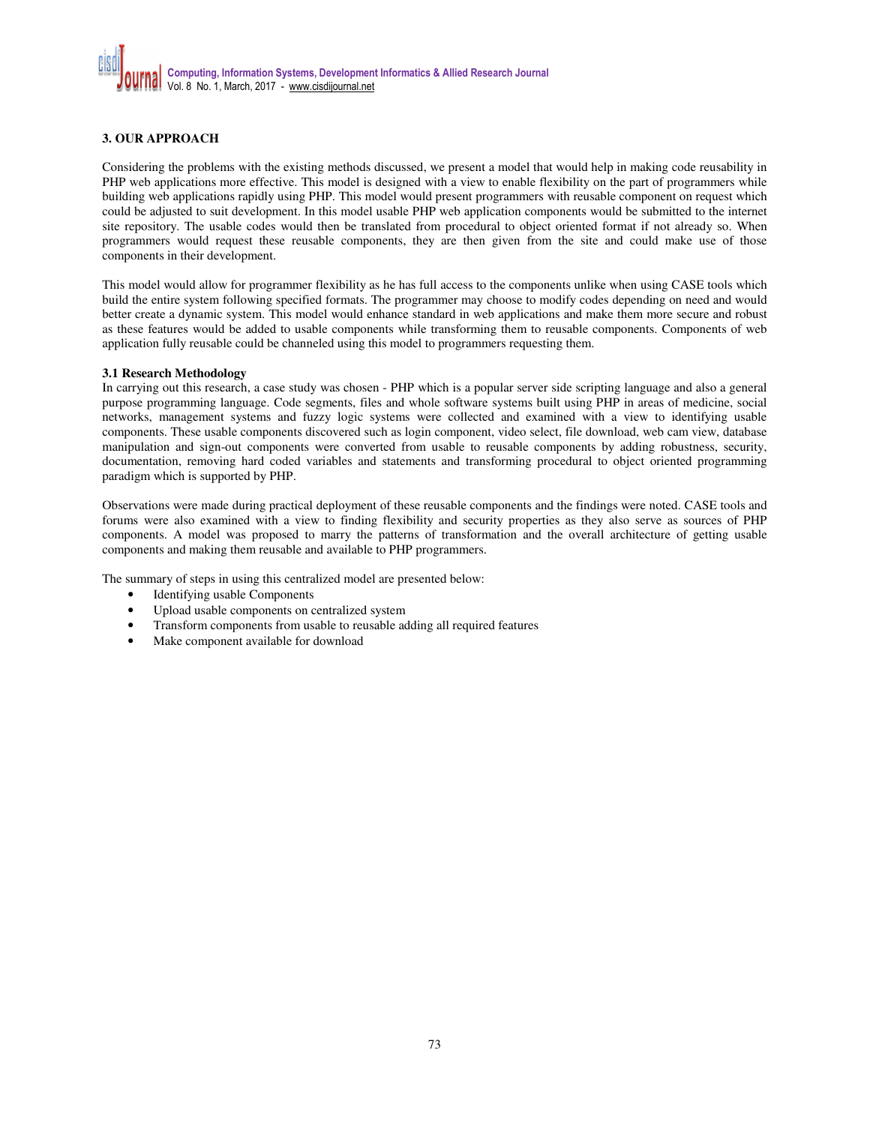# **3. OUR APPROACH**

Considering the problems with the existing methods discussed, we present a model that would help in making code reusability in PHP web applications more effective. This model is designed with a view to enable flexibility on the part of programmers while building web applications rapidly using PHP. This model would present programmers with reusable component on request which could be adjusted to suit development. In this model usable PHP web application components would be submitted to the internet site repository. The usable codes would then be translated from procedural to object oriented format if not already so. When programmers would request these reusable components, they are then given from the site and could make use of those components in their development.

This model would allow for programmer flexibility as he has full access to the components unlike when using CASE tools which build the entire system following specified formats. The programmer may choose to modify codes depending on need and would better create a dynamic system. This model would enhance standard in web applications and make them more secure and robust as these features would be added to usable components while transforming them to reusable components. Components of web application fully reusable could be channeled using this model to programmers requesting them.

### **3.1 Research Methodology**

In carrying out this research, a case study was chosen - PHP which is a popular server side scripting language and also a general purpose programming language. Code segments, files and whole software systems built using PHP in areas of medicine, social networks, management systems and fuzzy logic systems were collected and examined with a view to identifying usable components. These usable components discovered such as login component, video select, file download, web cam view, database manipulation and sign-out components were converted from usable to reusable components by adding robustness, security, documentation, removing hard coded variables and statements and transforming procedural to object oriented programming paradigm which is supported by PHP.

Observations were made during practical deployment of these reusable components and the findings were noted. CASE tools and forums were also examined with a view to finding flexibility and security properties as they also serve as sources of PHP components. A model was proposed to marry the patterns of transformation and the overall architecture of getting usable components and making them reusable and available to PHP programmers.

The summary of steps in using this centralized model are presented below:

- Identifying usable Components
- Upload usable components on centralized system
- Transform components from usable to reusable adding all required features
- Make component available for download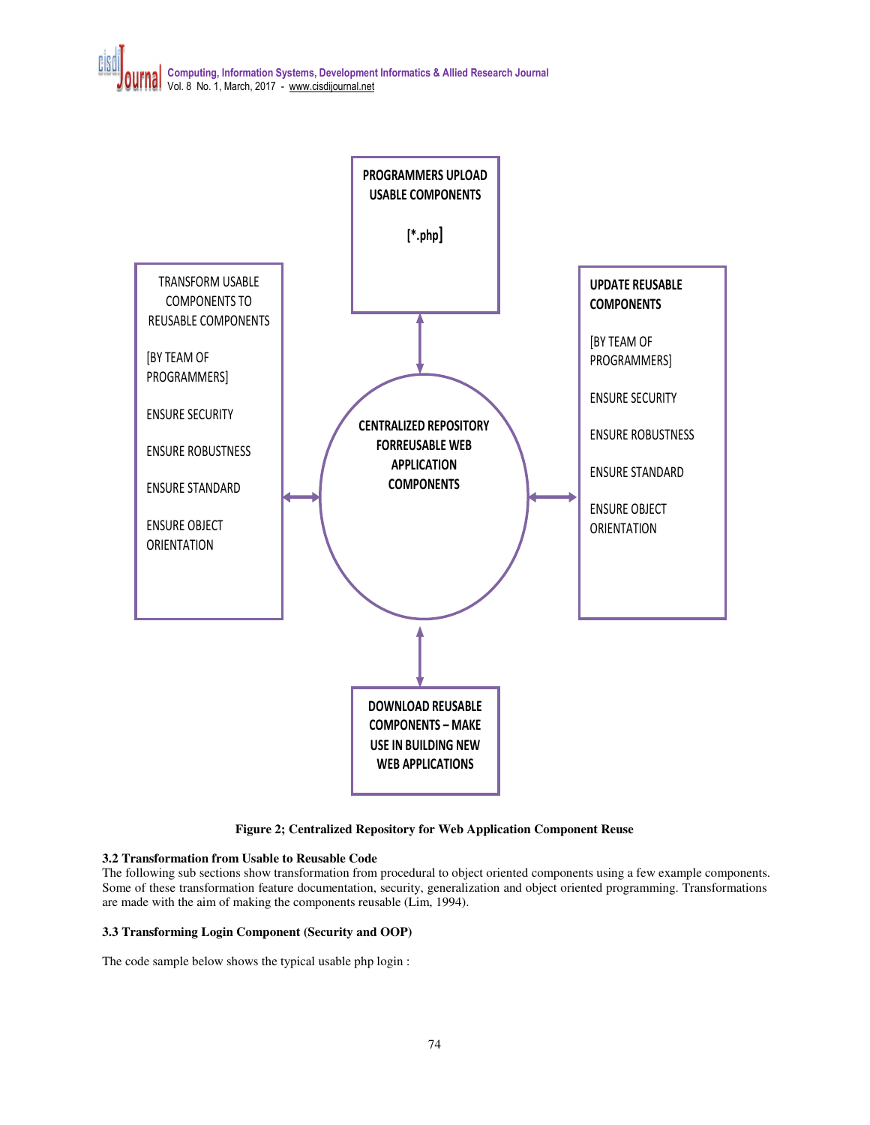

**Figure 2; Centralized Repository for Web Application Component Reuse** 

# **3.2 Transformation from Usable to Reusable Code**

The following sub sections show transformation from procedural to object oriented components using a few example components. Some of these transformation feature documentation, security, generalization and object oriented programming. Transformations are made with the aim of making the components reusable (Lim, 1994).

# **3.3 Transforming Login Component (Security and OOP)**

The code sample below shows the typical usable php login :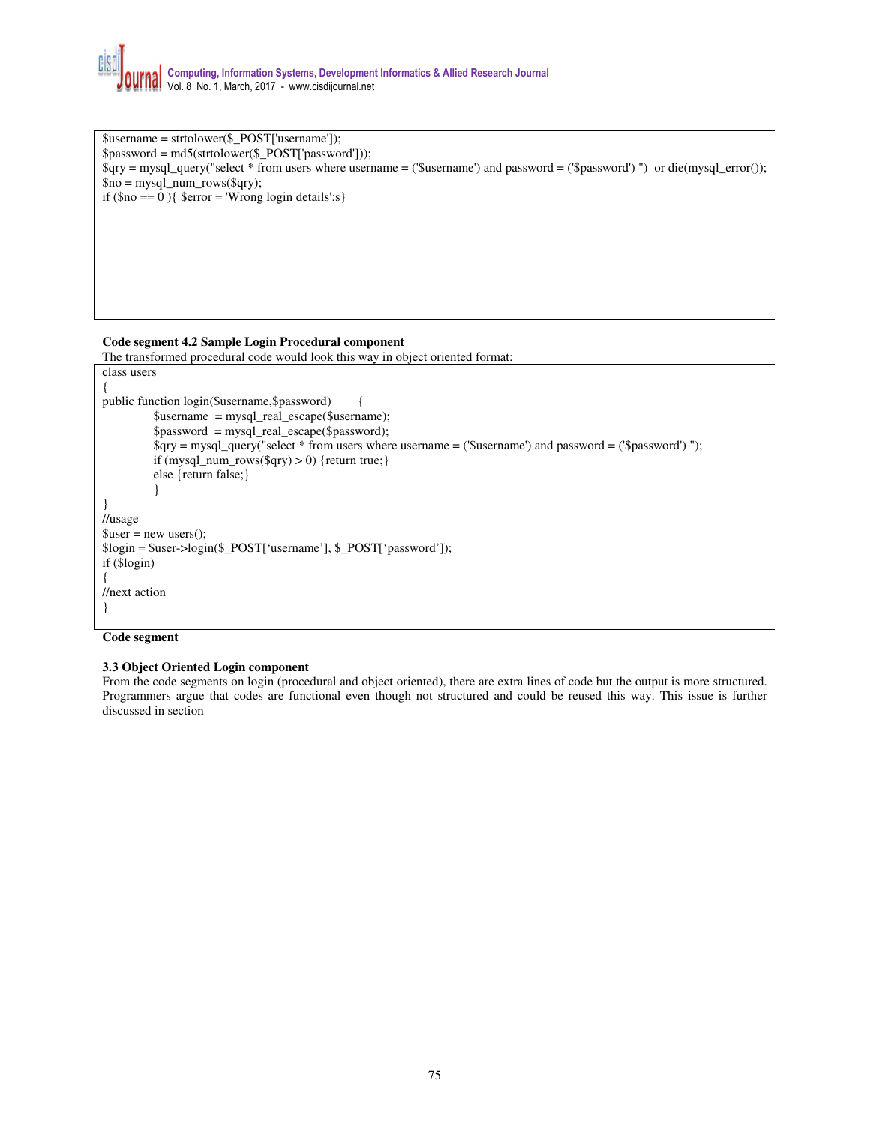\$username = strtolower(\$\_POST['username']); \$password = md5(strtolower(\$\_POST['password'])); \$qry = mysql\_query("select \* from users where username = ('\$username') and password = ('\$password') ") or die(mysql\_error());  $\text{Sno} = \text{mysgl\_num\_rows}(\text{Sqry});$ if  $(\text{§no} == 0)$  {  $\text{\$error} = \text{Wrong login details}; s$ }

# **Code segment 4.2 Sample Login Procedural component**

The transformed procedural code would look this way in object oriented format:

```
class users 
{ 
public function login($username,$password) {
           $username = mysql_real_escape($username); 
           $password = mysql_real_escape($password); 
           $qry = mysql_query("select * from users where username = ('$username') and password = ('$password') "); 
          if (mysql_num_rows($qry) > 0) {return true;}
           else {return false;} 
           } 
} 
//usage 
\text{Suser} = \text{new users}();
$login = $user->login($_POST['username'], $_POST['password']); 
if ($login) 
{ 
//next action 
}
```
### **Code segment**

### **3.3 Object Oriented Login component**

From the code segments on login (procedural and object oriented), there are extra lines of code but the output is more structured. Programmers argue that codes are functional even though not structured and could be reused this way. This issue is further discussed in section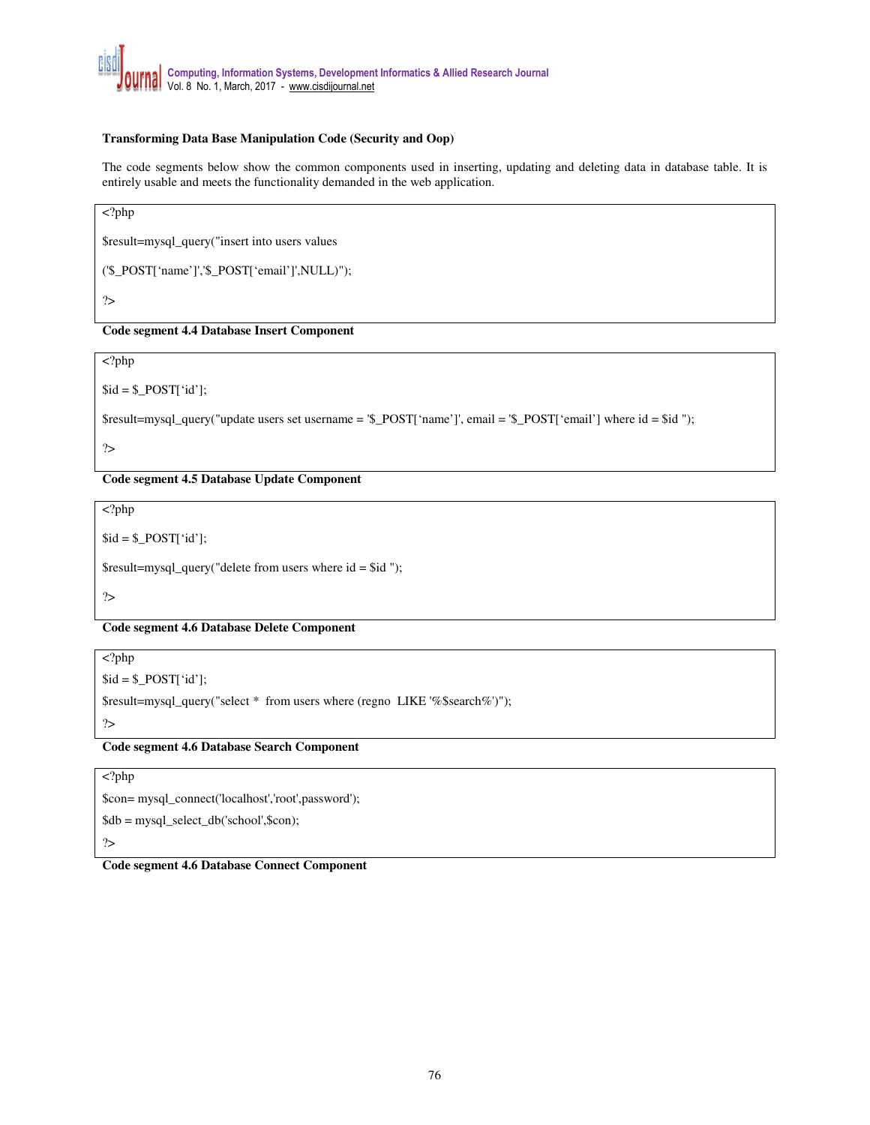# **Transforming Data Base Manipulation Code (Security and Oop)**

The code segments below show the common components used in inserting, updating and deleting data in database table. It is entirely usable and meets the functionality demanded in the web application.

<?php

\$result=mysql\_query("insert into users values

('\$\_POST['name']','\$\_POST['email']',NULL)");

?>

# **Code segment 4.4 Database Insert Component**

<?php

 $$id = $POST['id$ ;

\$result=mysql\_query("update users set username = '\$\_POST['name']', email = '\$\_POST['email'] where id = \$id ");

?>

**Code segment 4.5 Database Update Component** 

<?php

 $$id = $POST['id']$ ;

\$result=mysql\_query("delete from users where id = \$id ");

?>

**Code segment 4.6 Database Delete Component** 

<?php

 $$id = $POST['id$ ;

\$result=mysql\_query("select \* from users where (regno LIKE '%\$search%')");

?>

**Code segment 4.6 Database Search Component** 

<?php

\$con= mysql\_connect('localhost','root',password');

\$db = mysql\_select\_db('school',\$con);

?>

**Code segment 4.6 Database Connect Component**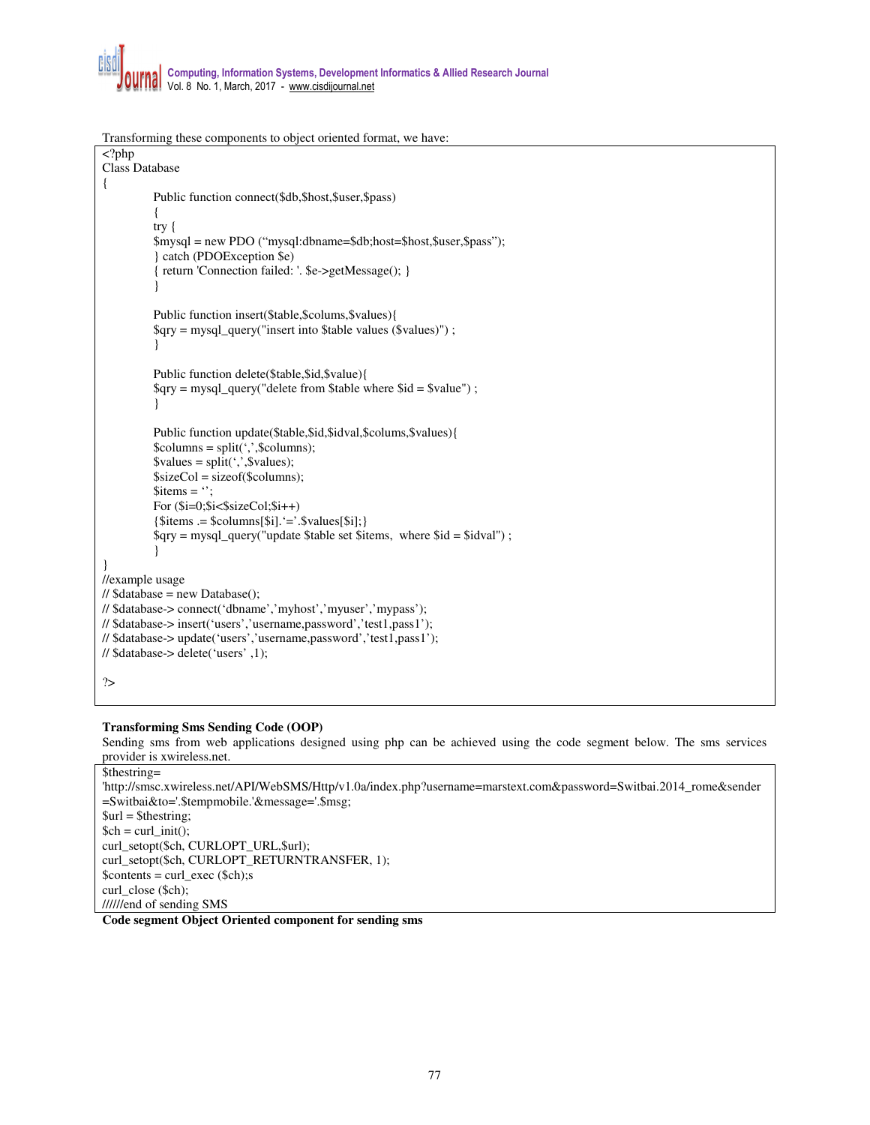Transforming these components to object oriented format, we have:

```
<?php 
Class Database 
{ 
           Public function connect($db,$host,$user,$pass) 
           { 
           try { 
           $mysql = new PDO ("mysql:dbname=$db;host=$host,$user,$pass"); 
           } catch (PDOException $e) 
           { return 'Connection failed: '. $e->getMessage(); } 
           } 
           Public function insert($table,$colums,$values){ 
           $qry = mysql_query("insert into $table values ($values)") ; 
           } 
           Public function delete($table,$id,$value){ 
           $qry = mysql_query("delete from $table where $id = $value") ; 
           } 
           Public function update($table,$id,$idval,$colums,$values){ 
           \text{Scolumns} = \text{split}(\cdot, \cdot, \text{Scolumns});\text{Svalues} = \text{split}(\cdot, \cdot, \text{Svalues});$sizeCol = $izeof($columns);$items = ';
           For (\frac{\xi_i=0;\xi_i<\xi_s}{zeCo!;\xi_i++}){\text{Stiems}} = {\text{Scolums}}[$i].`='.\text{Svalues}[$i];{}$qry = mysql_query("update $table set $items, where $id = $idval") ; 
           } 
} 
//example usage 
\frac{1}{3} $database = new Database();
// $database-> connect('dbname','myhost','myuser','mypass'); 
// $database-> insert('users','username,password','test1,pass1'); 
// $database-> update('users','username,password','test1,pass1'); 
// $database-> delete('users' ,1); 
?>
```
# **Transforming Sms Sending Code (OOP)**

Sending sms from web applications designed using php can be achieved using the code segment below. The sms services provider is xwireless.net.

```
$thestring= 
'http://smsc.xwireless.net/API/WebSMS/Http/v1.0a/index.php?username=marstext.com&password=Switbai.2014_rome&sender
=Switbai&to='.$tempmobile.'&message='.$msg; 
$url = $the string;$ch = curl\_init();
curl_setopt($ch, CURLOPT_URL,$url); 
curl_setopt($ch, CURLOPT_RETURNTRANSFER, 1); 
$contents = curl_exec ($ch);s 
curl_close ($ch); 
//////end of sending SMS
```
**Code segment Object Oriented component for sending sms**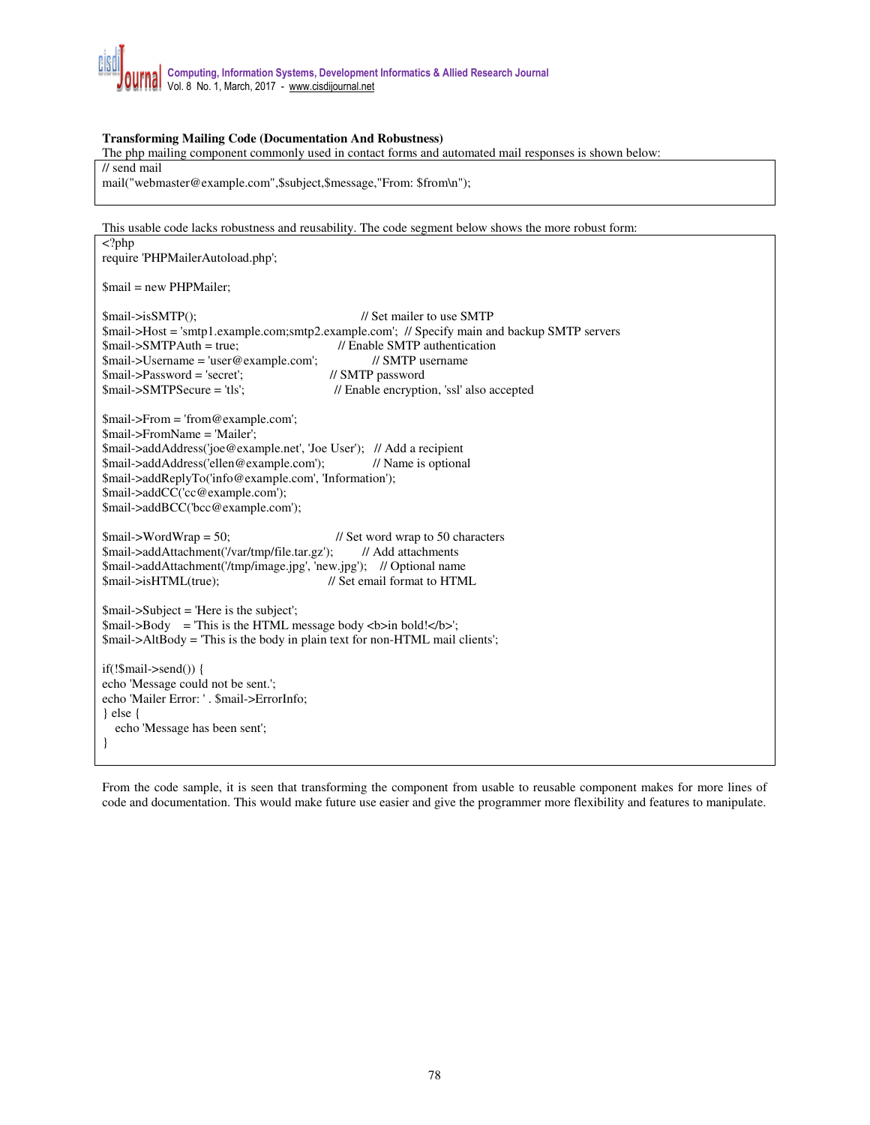# **Transforming Mailing Code (Documentation And Robustness)**

The php mailing component commonly used in contact forms and automated mail responses is shown below:

// send mail

mail("webmaster@example.com",\$subject,\$message,"From: \$from\n");

This usable code lacks robustness and reusability. The code segment below shows the more robust form: <?php require 'PHPMailerAutoload.php'; \$mail = new PHPMailer; \$mail->isSMTP():  $\angle$ // Set mailer to use SMTP \$mail->Host = 'smtp1.example.com;smtp2.example.com'; // Specify main and backup SMTP servers \$mail->SMTPAuth = true; // Enable SMTP authentication<br>\$mail->Username = 'user@example.com'; // SMTP username \$mail->Username = 'user@example.com'; // SMTP us<br>\$mail->Password = 'secret'; // SMTP password  $$mail$ -> $P$ assword = 'secret'; \$mail->SMTPSecure = 'tls'; // Enable encryption, 'ssl' also accepted \$mail->From = 'from@example.com'; \$mail->FromName = 'Mailer'; \$mail->addAddress('joe@example.net', 'Joe User'); // Add a recipient \$mail->addAddress('ellen@example.com'); // Name is optional \$mail->addReplyTo('info@example.com', 'Information'); \$mail->addCC('cc@example.com'); \$mail->addBCC('bcc@example.com');  $$mail>WordWrap = 50;$  // Set word wrap to 50 characters \$mail->addAttachment('/var/tmp/file.tar.gz'); // Add attachments \$mail->addAttachment('/tmp/image.jpg', 'new.jpg'); // Optional name \$mail->isHTML(true); // Set email format to HTML \$mail->Subject = 'Here is the subject'; \$mail->Body = 'This is the HTML message body <br/>b>in bold!</b>'; \$mail->AltBody = 'This is the body in plain text for non-HTML mail clients'; if(!\$mail->send()) { echo 'Message could not be sent.'; echo 'Mailer Error: ' . \$mail->ErrorInfo; } else { echo 'Message has been sent'; }

From the code sample, it is seen that transforming the component from usable to reusable component makes for more lines of code and documentation. This would make future use easier and give the programmer more flexibility and features to manipulate.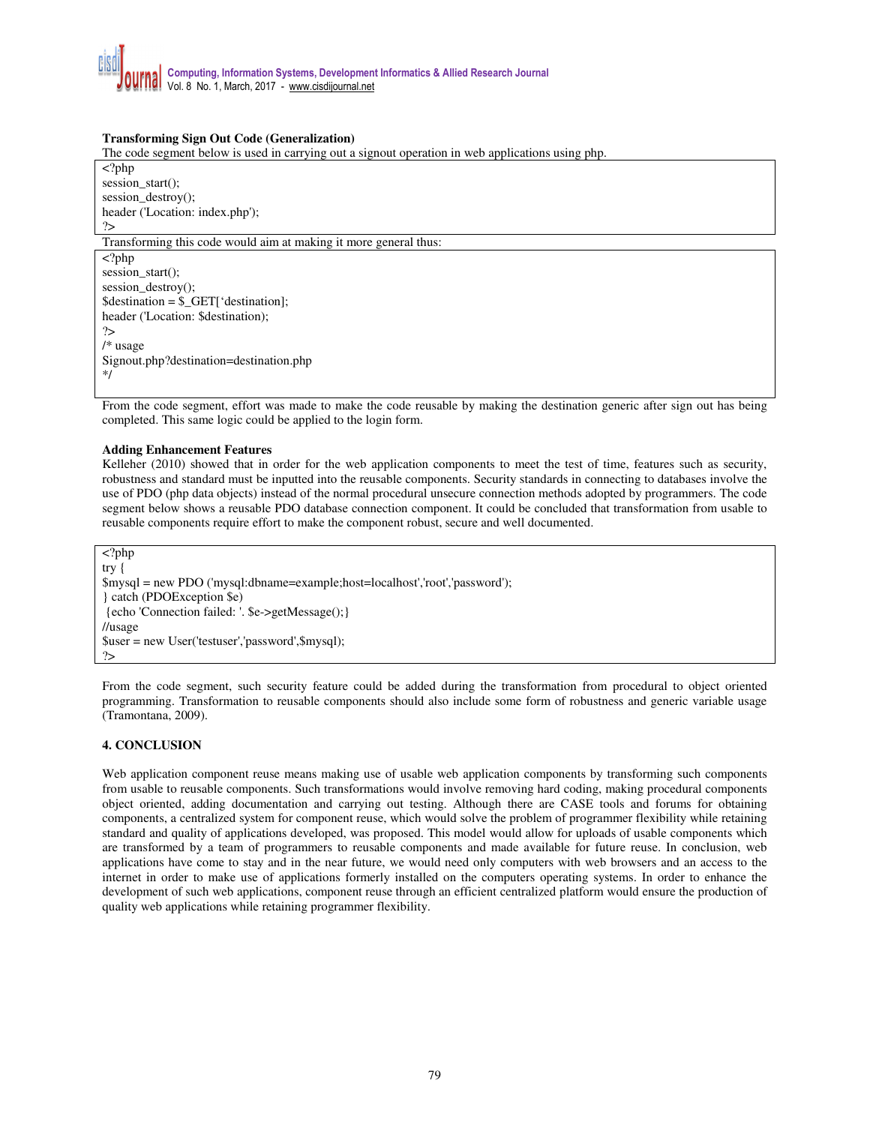# **Transforming Sign Out Code (Generalization)**

The code segment below is used in carrying out a signout operation in web applications using php.

<?php session\_start(); session\_destroy(); header ('Location: index.php'); ?> Transforming this code would aim at making it more general thus: <?php session\_start(); session\_destroy(); \$destination = \$\_GET['destination]; header ('Location: \$destination);

?> /\* usage Signout.php?destination=destination.php \*/

From the code segment, effort was made to make the code reusable by making the destination generic after sign out has being completed. This same logic could be applied to the login form.

### **Adding Enhancement Features**

Kelleher (2010) showed that in order for the web application components to meet the test of time, features such as security, robustness and standard must be inputted into the reusable components. Security standards in connecting to databases involve the use of PDO (php data objects) instead of the normal procedural unsecure connection methods adopted by programmers. The code segment below shows a reusable PDO database connection component. It could be concluded that transformation from usable to reusable components require effort to make the component robust, secure and well documented.

 $\overline{\langle$  ?php try { \$mysql = new PDO ('mysql:dbname=example;host=localhost','root','password'); } catch (PDOException \$e) {echo 'Connection failed: '. \$e->getMessage();} //usage \$user = new User('testuser','password',\$mysql); ?>

From the code segment, such security feature could be added during the transformation from procedural to object oriented programming. Transformation to reusable components should also include some form of robustness and generic variable usage (Tramontana, 2009).

# **4. CONCLUSION**

Web application component reuse means making use of usable web application components by transforming such components from usable to reusable components. Such transformations would involve removing hard coding, making procedural components object oriented, adding documentation and carrying out testing. Although there are CASE tools and forums for obtaining components, a centralized system for component reuse, which would solve the problem of programmer flexibility while retaining standard and quality of applications developed, was proposed. This model would allow for uploads of usable components which are transformed by a team of programmers to reusable components and made available for future reuse. In conclusion, web applications have come to stay and in the near future, we would need only computers with web browsers and an access to the internet in order to make use of applications formerly installed on the computers operating systems. In order to enhance the development of such web applications, component reuse through an efficient centralized platform would ensure the production of quality web applications while retaining programmer flexibility.